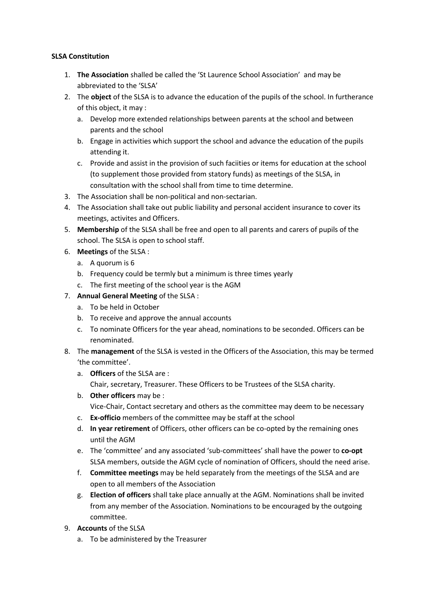# **SLSA Constitution**

- 1. **The Association** shalled be called the 'St Laurence School Association' and may be abbreviated to the 'SLSA'
- 2. The **object** of the SLSA is to advance the education of the pupils of the school. In furtherance of this object, it may :
	- a. Develop more extended relationships between parents at the school and between parents and the school
	- b. Engage in activities which support the school and advance the education of the pupils attending it.
	- c. Provide and assist in the provision of such faciities or items for education at the school (to supplement those provided from statory funds) as meetings of the SLSA, in consultation with the school shall from time to time determine.
- 3. The Association shall be non-political and non-sectarian.
- 4. The Association shall take out public liability and personal accident insurance to cover its meetings, activites and Officers.
- 5. **Membership** of the SLSA shall be free and open to all parents and carers of pupils of the school. The SLSA is open to school staff.
- 6. **Meetings** of the SLSA :
	- a. A quorum is 6
	- b. Frequency could be termly but a minimum is three times yearly
	- c. The first meeting of the school year is the AGM
- 7. **Annual General Meeting** of the SLSA :
	- a. To be held in October
	- b. To receive and approve the annual accounts
	- c. To nominate Officers for the year ahead, nominations to be seconded. Officers can be renominated.
- 8. The **management** of the SLSA is vested in the Officers of the Association, this may be termed 'the committee'.
	- a. **Officers** of the SLSA are : Chair, secretary, Treasurer. These Officers to be Trustees of the SLSA charity.
	- b. **Other officers** may be : Vice-Chair, Contact secretary and others as the committee may deem to be necessary
	- c. **Ex-officio** members of the committee may be staff at the school
	- d. **In year retirement** of Officers, other officers can be co-opted by the remaining ones until the AGM
	- e. The 'committee' and any associated 'sub-committees' shall have the power to **co-opt** SLSA members, outside the AGM cycle of nomination of Officers, should the need arise.
	- f. **Committee meetings** may be held separately from the meetings of the SLSA and are open to all members of the Association
	- g. **Election of officers** shall take place annually at the AGM. Nominations shall be invited from any member of the Association. Nominations to be encouraged by the outgoing committee.
- 9. **Accounts** of the SLSA
	- a. To be administered by the Treasurer